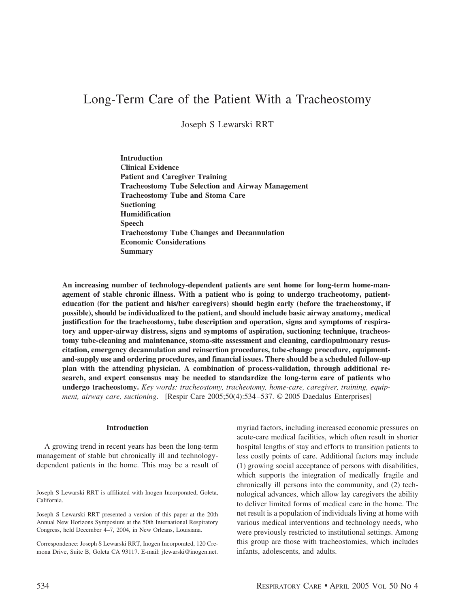# Long-Term Care of the Patient With a Tracheostomy

Joseph S Lewarski RRT

**Introduction Clinical Evidence Patient and Caregiver Training Tracheostomy Tube Selection and Airway Management Tracheostomy Tube and Stoma Care Suctioning Humidification Speech Tracheostomy Tube Changes and Decannulation Economic Considerations Summary**

**An increasing number of technology-dependent patients are sent home for long-term home-management of stable chronic illness. With a patient who is going to undergo tracheotomy, patienteducation (for the patient and his/her caregivers) should begin early (before the tracheostomy, if possible), should be individualized to the patient, and should include basic airway anatomy, medical justification for the tracheostomy, tube description and operation, signs and symptoms of respiratory and upper-airway distress, signs and symptoms of aspiration, suctioning technique, tracheostomy tube-cleaning and maintenance, stoma-site assessment and cleaning, cardiopulmonary resuscitation, emergency decannulation and reinsertion procedures, tube-change procedure, equipmentand-supply use and ordering procedures, and financial issues. There should be a scheduled follow-up plan with the attending physician. A combination of process-validation, through additional research, and expert consensus may be needed to standardize the long-term care of patients who undergo tracheostomy.** *Key words: tracheostomy, tracheotomy, home-care, caregiver, training, equipment, airway care, suctioning*. [Respir Care 2005;50(4):534 –537. © 2005 Daedalus Enterprises]

## **Introduction**

A growing trend in recent years has been the long-term management of stable but chronically ill and technologydependent patients in the home. This may be a result of myriad factors, including increased economic pressures on acute-care medical facilities, which often result in shorter hospital lengths of stay and efforts to transition patients to less costly points of care. Additional factors may include (1) growing social acceptance of persons with disabilities, which supports the integration of medically fragile and chronically ill persons into the community, and (2) technological advances, which allow lay caregivers the ability to deliver limited forms of medical care in the home. The net result is a population of individuals living at home with various medical interventions and technology needs, who were previously restricted to institutional settings. Among this group are those with tracheostomies, which includes infants, adolescents, and adults.

Joseph S Lewarski RRT is affiliated with Inogen Incorporated, Goleta, California.

Joseph S Lewarski RRT presented a version of this paper at the 20th Annual New Horizons Symposium at the 50th International Respiratory Congress, held December 4–7, 2004, in New Orleans, Louisiana.

Correspondence: Joseph S Lewarski RRT, Inogen Incorporated, 120 Cremona Drive, Suite B, Goleta CA 93117. E-mail: jlewarski@inogen.net.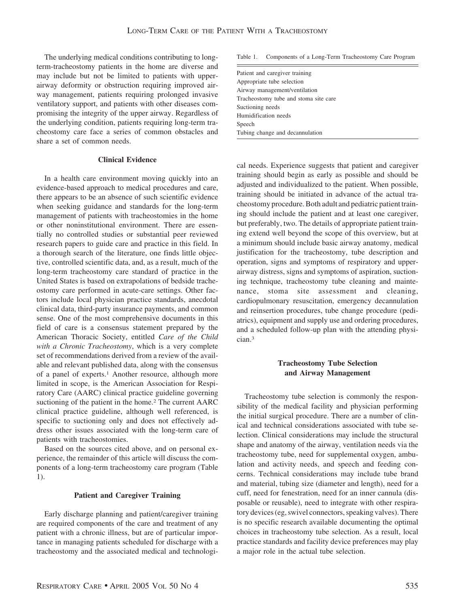The underlying medical conditions contributing to longterm-tracheostomy patients in the home are diverse and may include but not be limited to patients with upperairway deformity or obstruction requiring improved airway management, patients requiring prolonged invasive ventilatory support, and patients with other diseases compromising the integrity of the upper airway. Regardless of the underlying condition, patients requiring long-term tracheostomy care face a series of common obstacles and share a set of common needs.

## **Clinical Evidence**

In a health care environment moving quickly into an evidence-based approach to medical procedures and care, there appears to be an absence of such scientific evidence when seeking guidance and standards for the long-term management of patients with tracheostomies in the home or other noninstitutional environment. There are essentially no controlled studies or substantial peer reviewed research papers to guide care and practice in this field. In a thorough search of the literature, one finds little objective, controlled scientific data, and, as a result, much of the long-term tracheostomy care standard of practice in the United States is based on extrapolations of bedside tracheostomy care performed in acute-care settings. Other factors include local physician practice standards, anecdotal clinical data, third-party insurance payments, and common sense. One of the most comprehensive documents in this field of care is a consensus statement prepared by the American Thoracic Society, entitled *Care of the Child with a Chronic Tracheostomy*, which is a very complete set of recommendations derived from a review of the available and relevant published data, along with the consensus of a panel of experts.<sup>1</sup> Another resource, although more limited in scope, is the American Association for Respiratory Care (AARC) clinical practice guideline governing suctioning of the patient in the home.<sup>2</sup> The current AARC clinical practice guideline, although well referenced, is specific to suctioning only and does not effectively address other issues associated with the long-term care of patients with tracheostomies.

Based on the sources cited above, and on personal experience, the remainder of this article will discuss the components of a long-term tracheostomy care program (Table 1).

### **Patient and Caregiver Training**

Early discharge planning and patient/caregiver training are required components of the care and treatment of any patient with a chronic illness, but are of particular importance in managing patients scheduled for discharge with a tracheostomy and the associated medical and technologi-

Table 1. Components of a Long-Term Tracheostomy Care Program

| Patient and caregiver training        |
|---------------------------------------|
| Appropriate tube selection            |
| Airway management/ventilation         |
| Tracheostomy tube and stoma site care |
| Suctioning needs                      |
| Humidification needs                  |
| Speech                                |
| Tubing change and decannulation       |

cal needs. Experience suggests that patient and caregiver training should begin as early as possible and should be adjusted and individualized to the patient. When possible, training should be initiated in advance of the actual tracheostomy procedure. Both adult and pediatric patient training should include the patient and at least one caregiver, but preferably, two. The details of appropriate patient training extend well beyond the scope of this overview, but at a minimum should include basic airway anatomy, medical justification for the tracheostomy, tube description and operation, signs and symptoms of respiratory and upperairway distress, signs and symptoms of aspiration, suctioning technique, tracheostomy tube cleaning and maintenance, stoma site assessment and cleaning, cardiopulmonary resuscitation, emergency decannulation and reinsertion procedures, tube change procedure (pediatrics), equipment and supply use and ordering procedures, and a scheduled follow-up plan with the attending physician.3

# **Tracheostomy Tube Selection and Airway Management**

Tracheostomy tube selection is commonly the responsibility of the medical facility and physician performing the initial surgical procedure. There are a number of clinical and technical considerations associated with tube selection. Clinical considerations may include the structural shape and anatomy of the airway, ventilation needs via the tracheostomy tube, need for supplemental oxygen, ambulation and activity needs, and speech and feeding concerns. Technical considerations may include tube brand and material, tubing size (diameter and length), need for a cuff, need for fenestration, need for an inner cannula (disposable or reusable), need to integrate with other respiratory devices (eg, swivel connectors, speaking valves). There is no specific research available documenting the optimal choices in tracheostomy tube selection. As a result, local practice standards and facility device preferences may play a major role in the actual tube selection.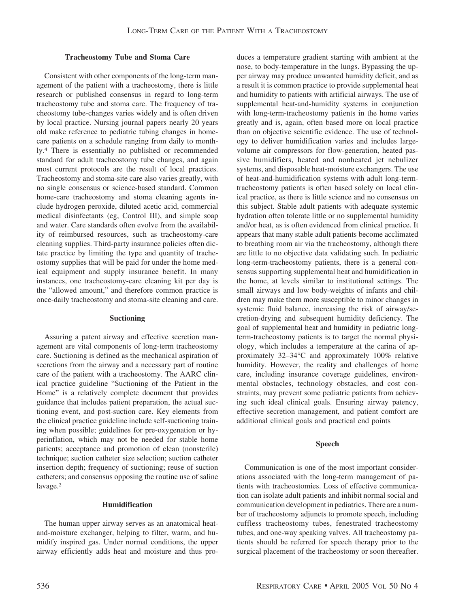## **Tracheostomy Tube and Stoma Care**

Consistent with other components of the long-term management of the patient with a tracheostomy, there is little research or published consensus in regard to long-term tracheostomy tube and stoma care. The frequency of tracheostomy tube-changes varies widely and is often driven by local practice. Nursing journal papers nearly 20 years old make reference to pediatric tubing changes in homecare patients on a schedule ranging from daily to monthly.4 There is essentially no published or recommended standard for adult tracheostomy tube changes, and again most current protocols are the result of local practices. Tracheostomy and stoma-site care also varies greatly, with no single consensus or science-based standard. Common home-care tracheostomy and stoma cleaning agents include hydrogen peroxide, diluted acetic acid, commercial medical disinfectants (eg, Control III), and simple soap and water. Care standards often evolve from the availability of reimbursed resources, such as tracheostomy-care cleaning supplies. Third-party insurance policies often dictate practice by limiting the type and quantity of tracheostomy supplies that will be paid for under the home medical equipment and supply insurance benefit. In many instances, one tracheostomy-care cleaning kit per day is the "allowed amount," and therefore common practice is once-daily tracheostomy and stoma-site cleaning and care.

#### **Suctioning**

Assuring a patent airway and effective secretion management are vital components of long-term tracheostomy care. Suctioning is defined as the mechanical aspiration of secretions from the airway and a necessary part of routine care of the patient with a tracheostomy. The AARC clinical practice guideline "Suctioning of the Patient in the Home" is a relatively complete document that provides guidance that includes patient preparation, the actual suctioning event, and post-suction care. Key elements from the clinical practice guideline include self-suctioning training when possible; guidelines for pre-oxygenation or hyperinflation, which may not be needed for stable home patients; acceptance and promotion of clean (nonsterile) technique; suction catheter size selection; suction catheter insertion depth; frequency of suctioning; reuse of suction catheters; and consensus opposing the routine use of saline lavage.2

## **Humidification**

The human upper airway serves as an anatomical heatand-moisture exchanger, helping to filter, warm, and humidify inspired gas. Under normal conditions, the upper airway efficiently adds heat and moisture and thus produces a temperature gradient starting with ambient at the nose, to body-temperature in the lungs. Bypassing the upper airway may produce unwanted humidity deficit, and as a result it is common practice to provide supplemental heat and humidity to patients with artificial airways. The use of supplemental heat-and-humidity systems in conjunction with long-term-tracheostomy patients in the home varies greatly and is, again, often based more on local practice than on objective scientific evidence. The use of technology to deliver humidification varies and includes largevolume air compressors for flow-generation, heated passive humidifiers, heated and nonheated jet nebulizer systems, and disposable heat-moisture exchangers. The use of heat-and-humidification systems with adult long-termtracheostomy patients is often based solely on local clinical practice, as there is little science and no consensus on this subject. Stable adult patients with adequate systemic hydration often tolerate little or no supplemental humidity and/or heat, as is often evidenced from clinical practice. It appears that many stable adult patients become acclimated to breathing room air via the tracheostomy, although there are little to no objective data validating such. In pediatric long-term-tracheostomy patients, there is a general consensus supporting supplemental heat and humidification in the home, at levels similar to institutional settings. The small airways and low body-weights of infants and children may make them more susceptible to minor changes in systemic fluid balance, increasing the risk of airway/secretion-drying and subsequent humidity deficiency. The goal of supplemental heat and humidity in pediatric longterm-tracheostomy patients is to target the normal physiology, which includes a temperature at the carina of approximately 32–34°C and approximately 100% relative humidity. However, the reality and challenges of home care, including insurance coverage guidelines, environmental obstacles, technology obstacles, and cost constraints, may prevent some pediatric patients from achieving such ideal clinical goals. Ensuring airway patency, effective secretion management, and patient comfort are additional clinical goals and practical end points

# **Speech**

Communication is one of the most important considerations associated with the long-term management of patients with tracheostomies. Loss of effective communication can isolate adult patients and inhibit normal social and communication development in pediatrics. There are a number of tracheostomy adjuncts to promote speech, including cuffless tracheostomy tubes, fenestrated tracheostomy tubes, and one-way speaking valves. All tracheostomy patients should be referred for speech therapy prior to the surgical placement of the tracheostomy or soon thereafter.